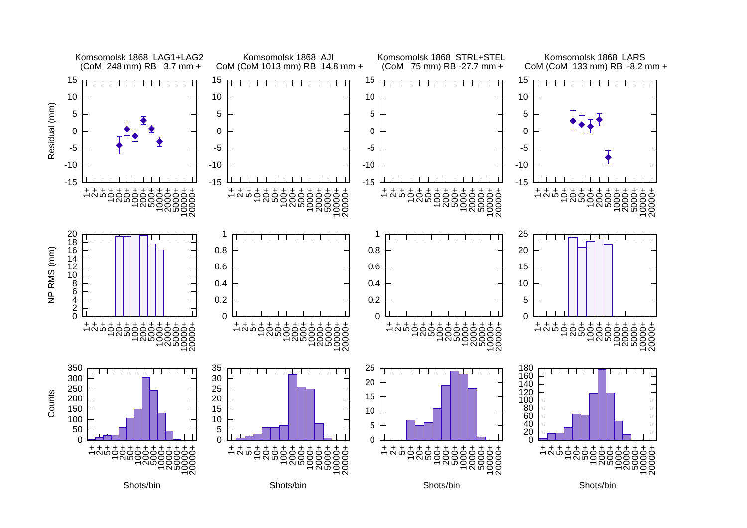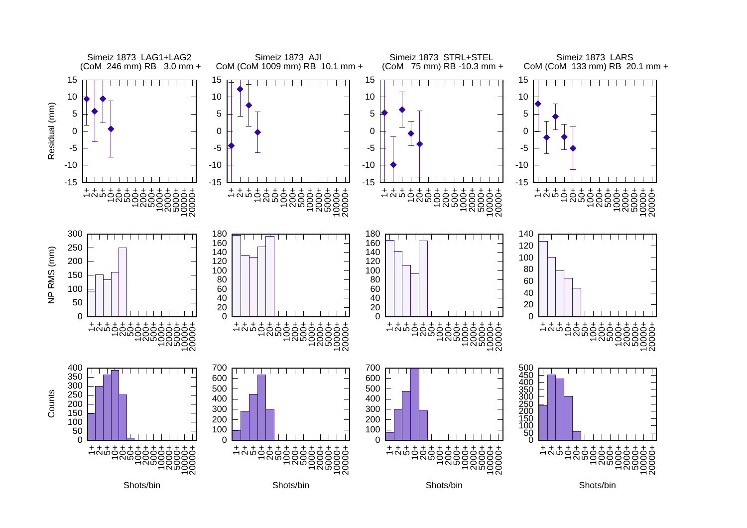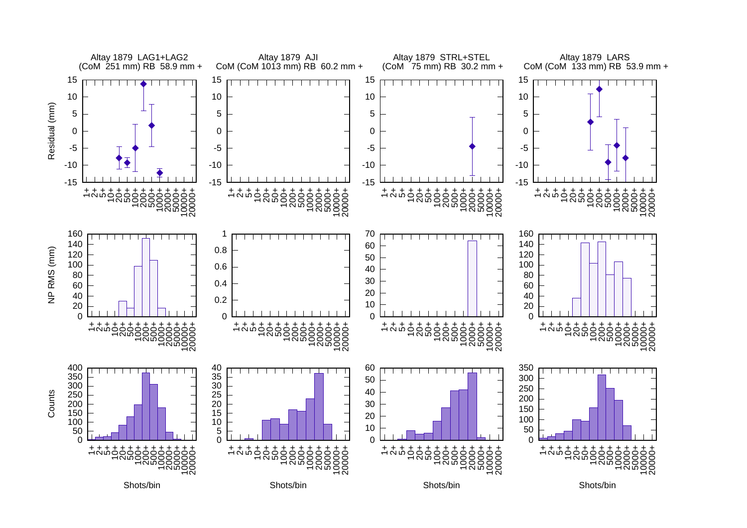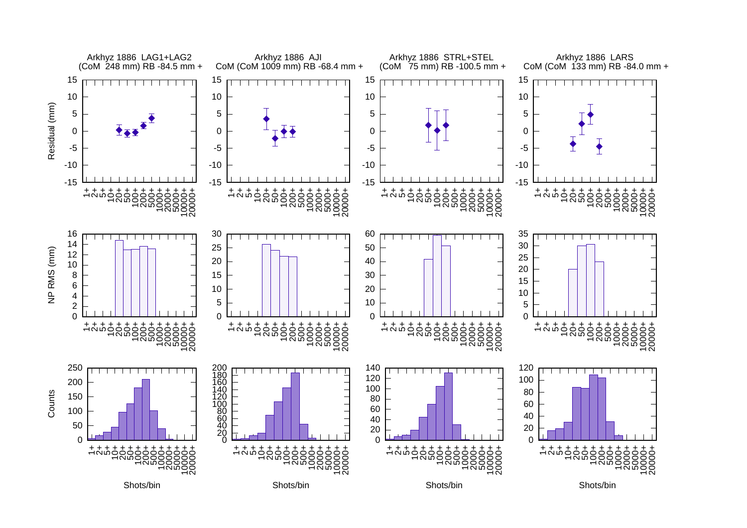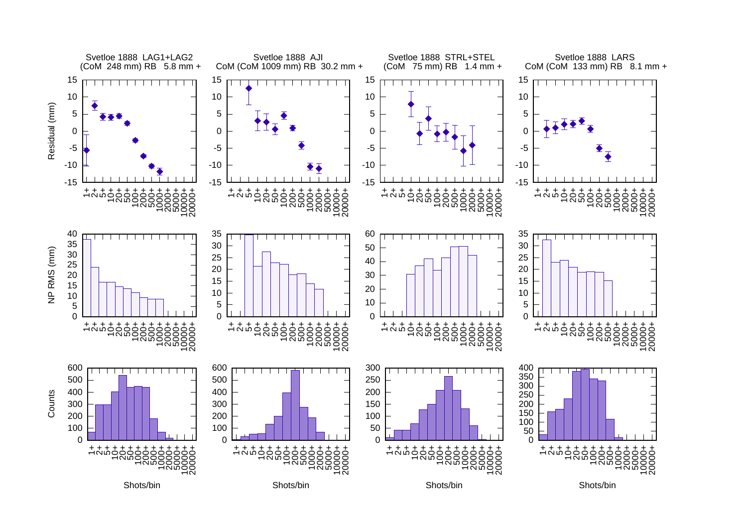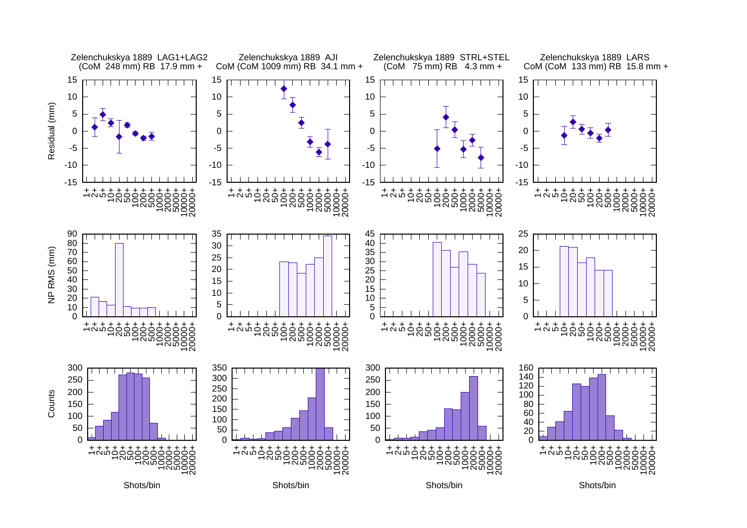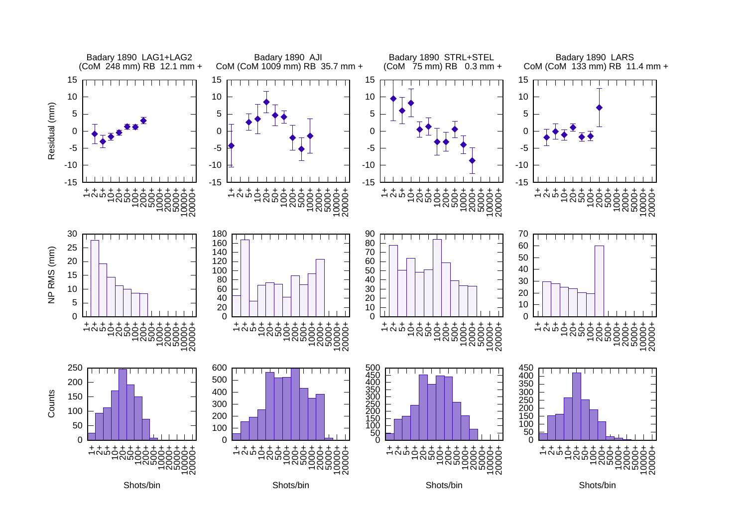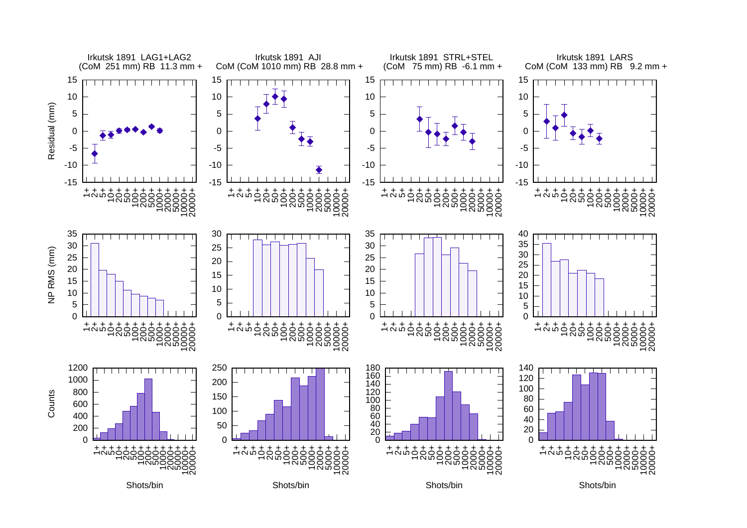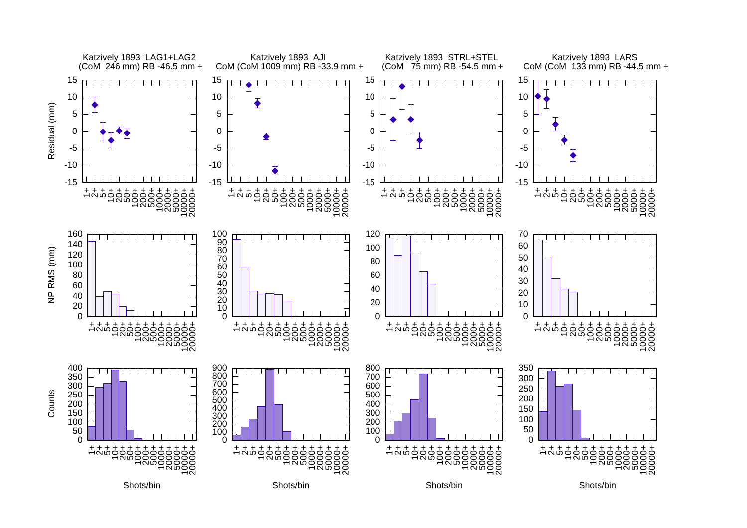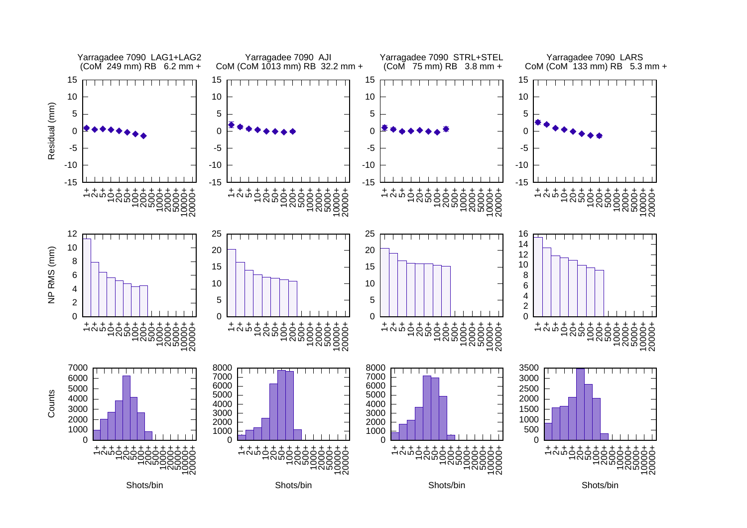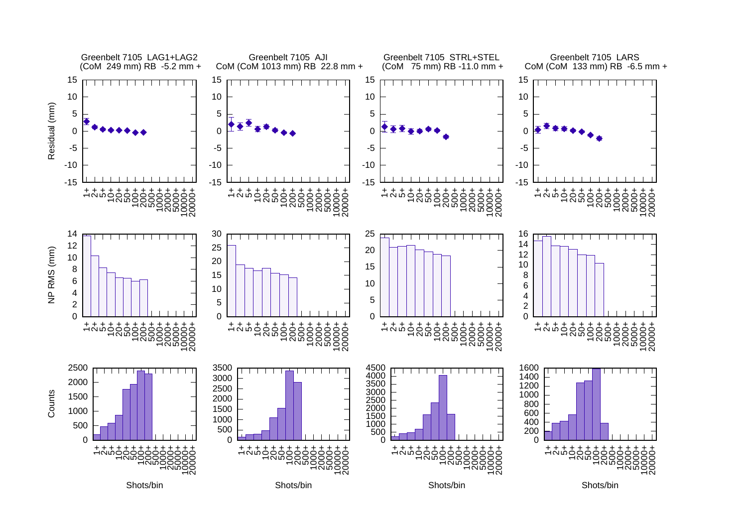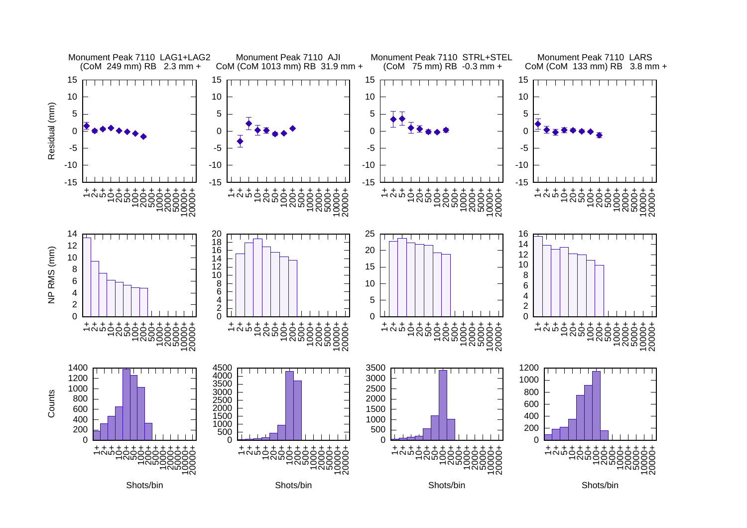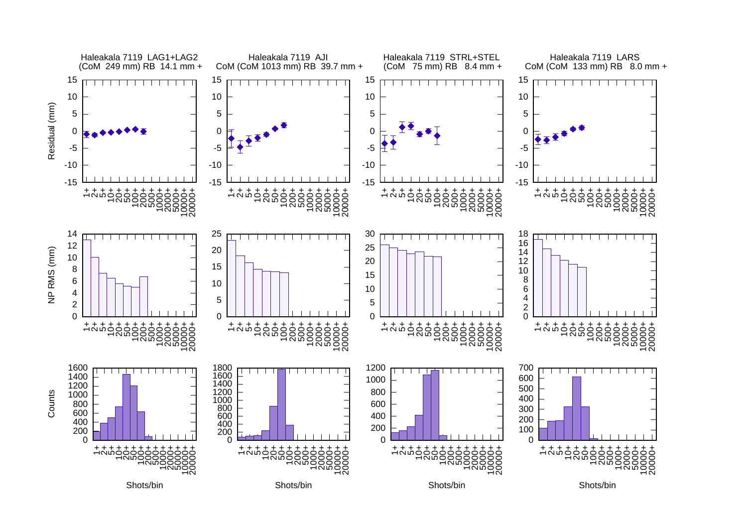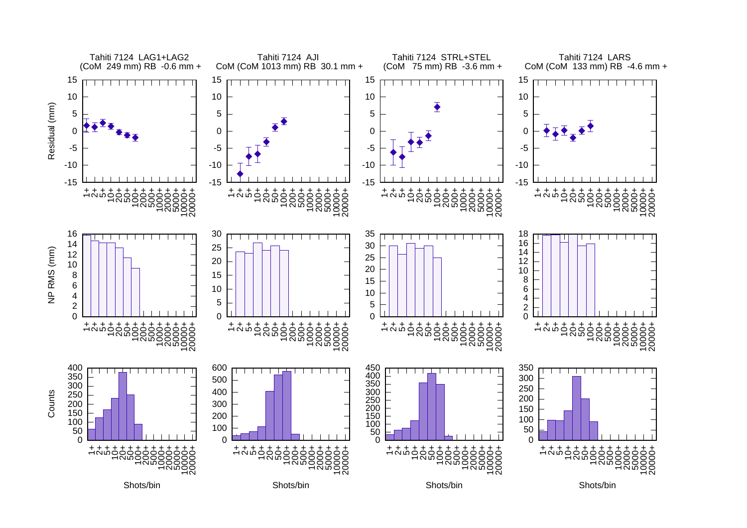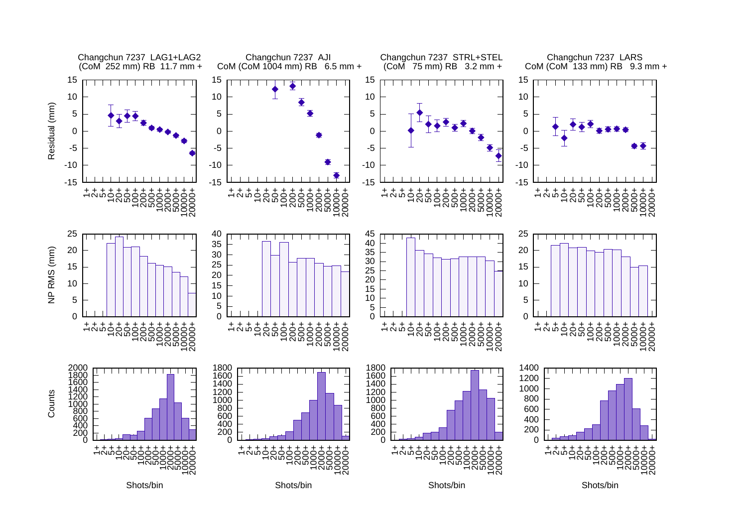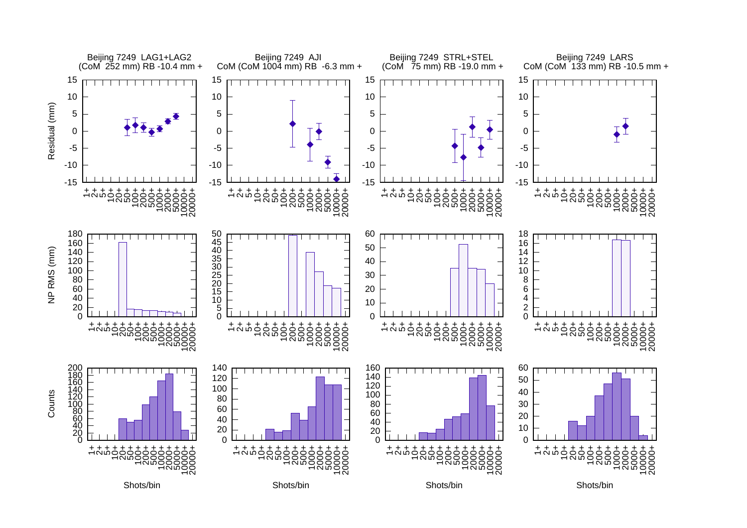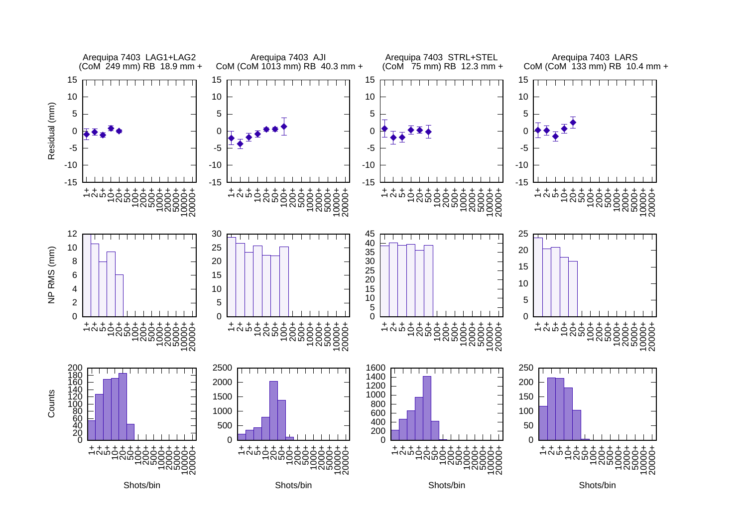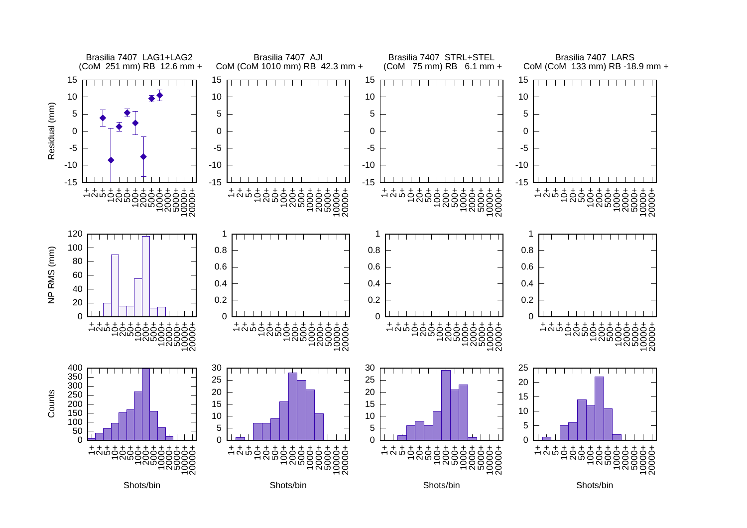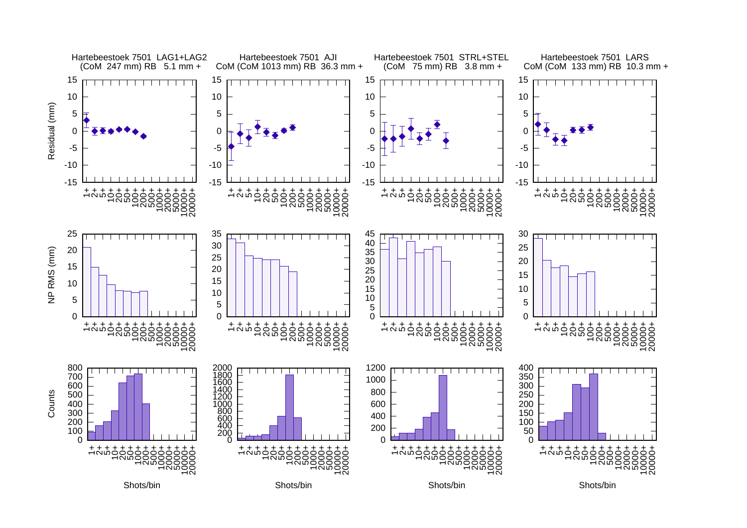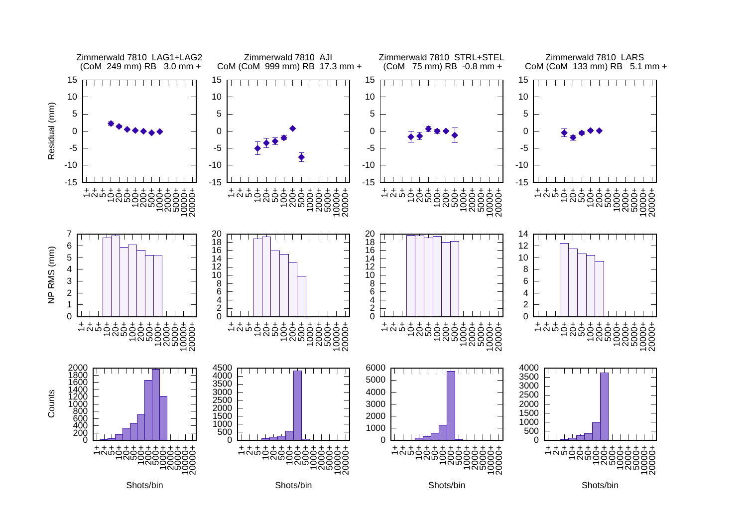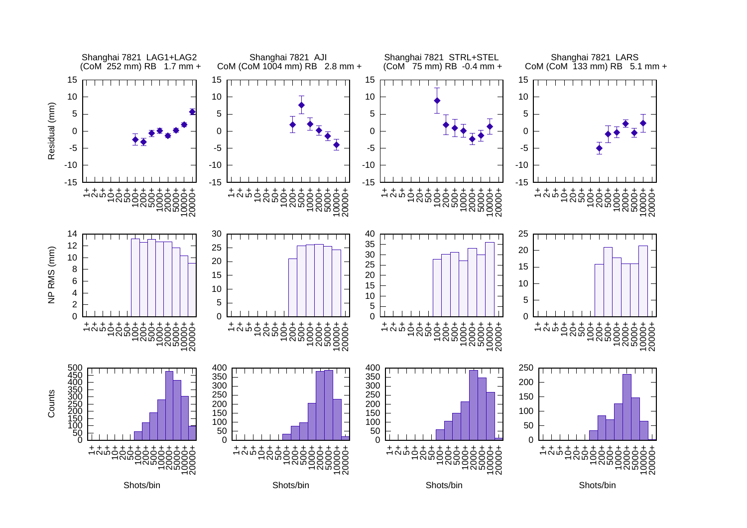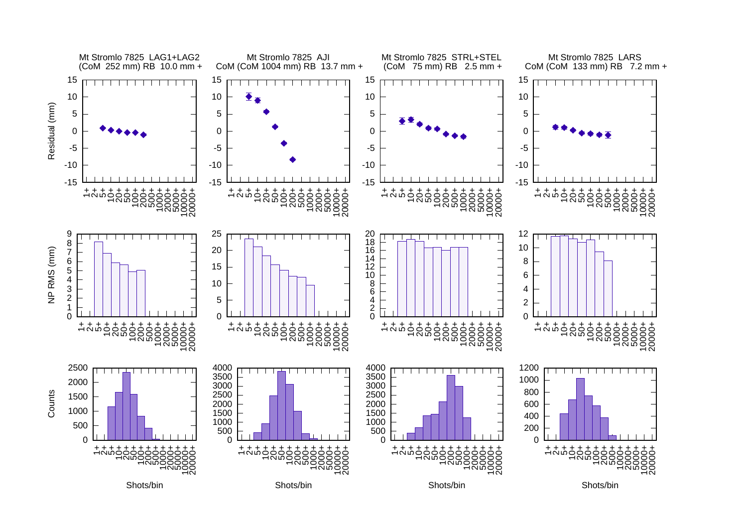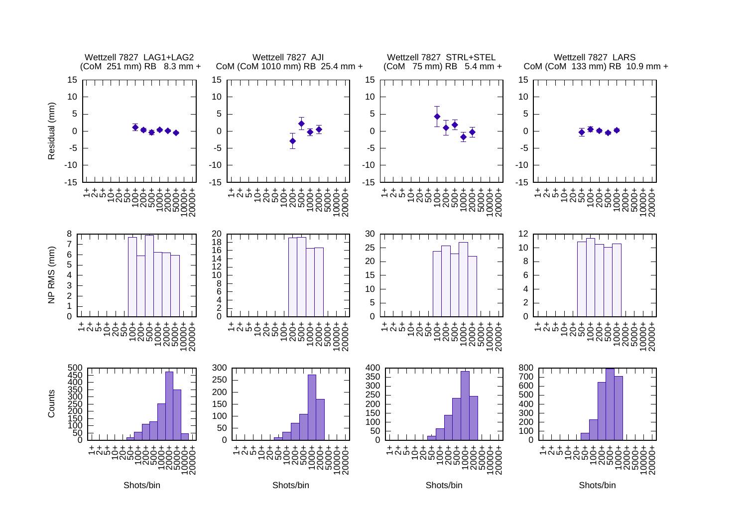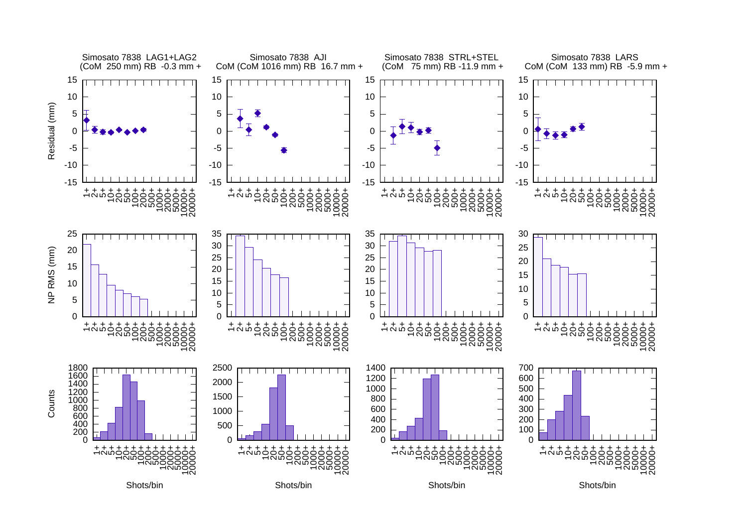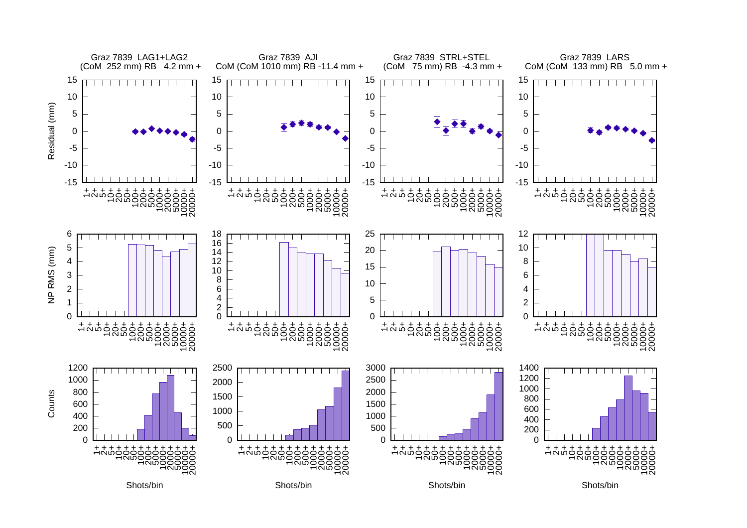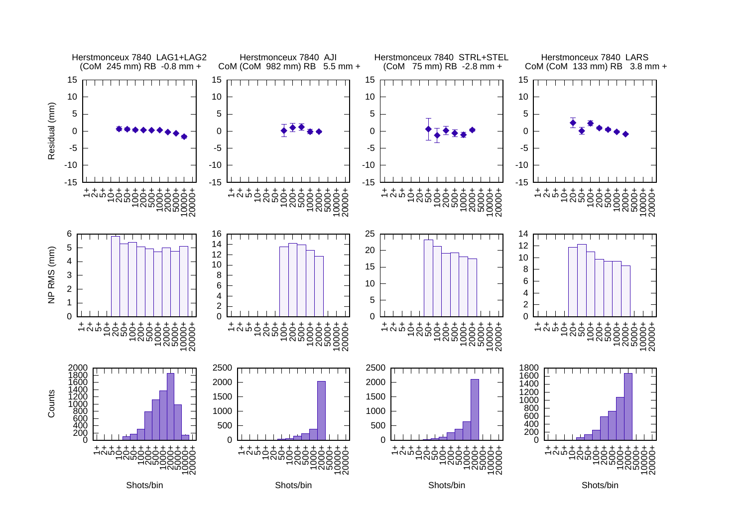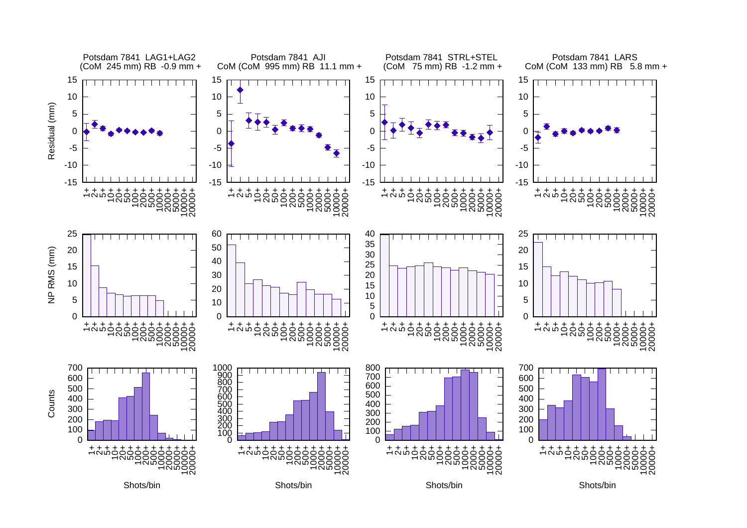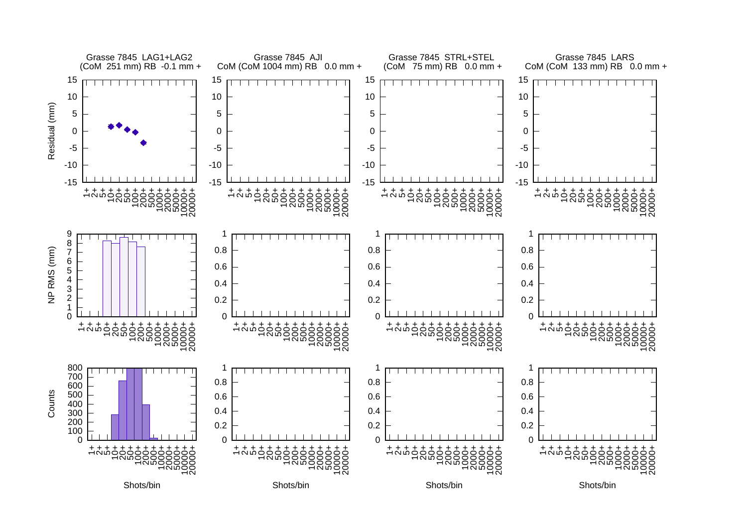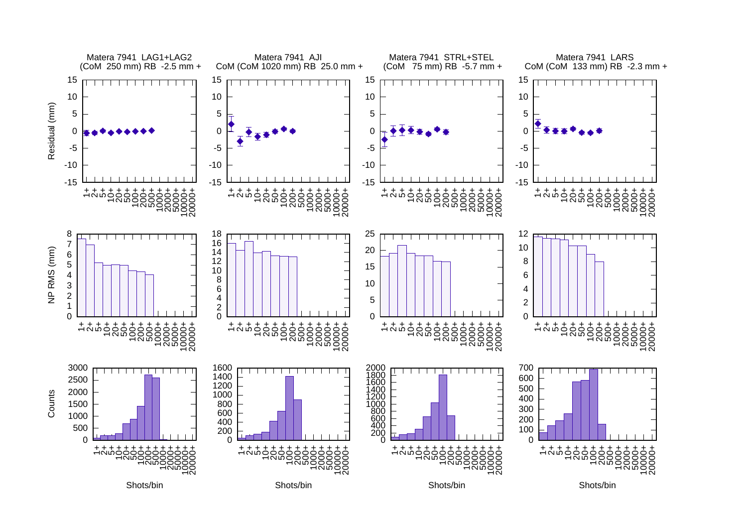